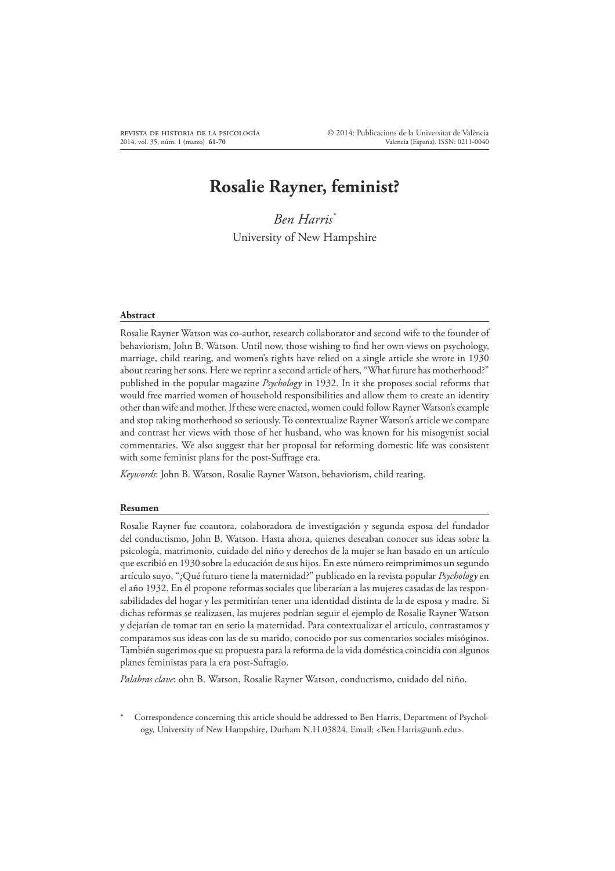# **Rosalie Rayner, feminist?**

*Ben Harris\** University of New Hampshire

#### **Abstract**

Rosalie Rayner Watson was co-author, research collaborator and second wife to the founder of behaviorism, John B. Watson. Until now, those wishing to find her own views on psychology, marriage, child rearing, and women's rights have relied on a single article she wrote in 1930 about rearing her sons. Here we reprint a second article of hers, "What future has motherhood?" published in the popular magazine *Psychology* in 1932. In it she proposes social reforms that would free married women of household responsibilities and allow them to create an identity other than wife and mother. If these were enacted, women could follow Rayner Watson's example and stop taking motherhood so seriously. To contextualize Rayner Watson's article we compare and contrast her views with those of her husband, who was known for his misogynist social commentaries. We also suggest that her proposal for reforming domestic life was consistent with some feminist plans for the post-Suffrage era.

*Keywords*: John B. Watson, Rosalie Rayner Watson, behaviorism, child rearing.

#### **Resumen**

Rosalie Rayner fue coautora, colaboradora de investigación y segunda esposa del fundador del conductismo, John B. Watson. Hasta ahora, quienes deseaban conocer sus ideas sobre la psicología, matrimonio, cuidado del niño y derechos de la mujer se han basado en un artículo que escribió en 1930 sobre la educación de sus hijos. En este número reimprimimos un segundo artículo suyo, "¿Qué futuro tiene la maternidad?" publicado en la revista popular *Psychology* en el año 1932. En él propone reformas sociales que liberarían a las mujeres casadas de las responsabilidades del hogar y les permitirían tener una identidad distinta de la de esposa y madre. Si dichas reformas se realizasen, las mujeres podrían seguir el ejemplo de Rosalie Rayner Watson y dejarían de tomar tan en serio la maternidad. Para contextualizar el artículo, contrastamos y comparamos sus ideas con las de su marido, conocido por sus comentarios sociales misóginos. También sugerimos que su propuesta para la reforma de la vida doméstica coincidía con algunos planes feministas para la era post-Sufragio.

*Palabras clave*: ohn B. Watson, Rosalie Rayner Watson, conductismo, cuidado del niño.

Correspondence concerning this article should be addressed to Ben Harris, Department of Psychology, University of New Hampshire, Durham N.H.03824. Email: <Ben.Harris@unh.edu>.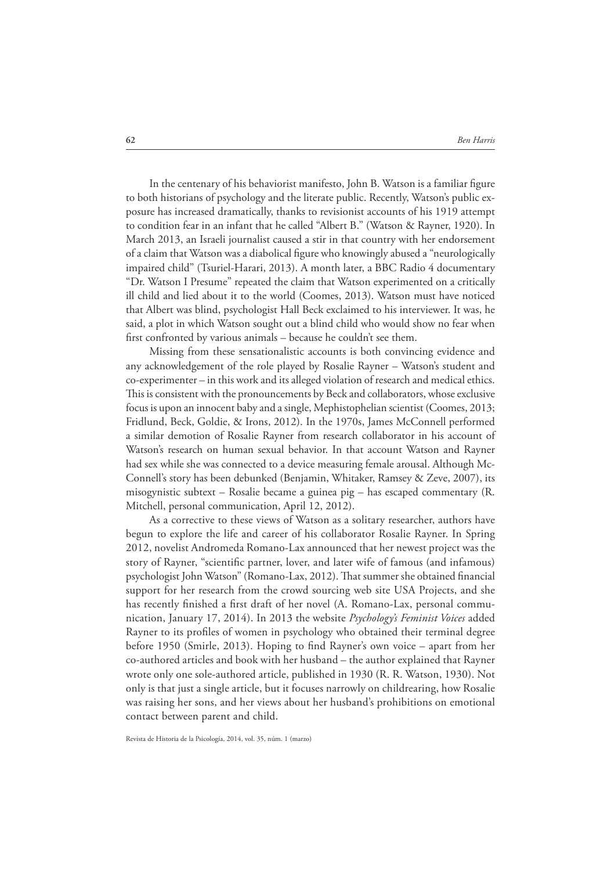In the centenary of his behaviorist manifesto, John B. Watson is a familiar figure to both historians of psychology and the literate public. Recently, Watson's public exposure has increased dramatically, thanks to revisionist accounts of his 1919 attempt to condition fear in an infant that he called "Albert B." (Watson & Rayner, 1920). In March 2013, an Israeli journalist caused a stir in that country with her endorsement of a claim that Watson was a diabolical figure who knowingly abused a "neurologically impaired child" (Tsuriel-Harari, 2013). A month later, a BBC Radio 4 documentary "Dr. Watson I Presume" repeated the claim that Watson experimented on a critically ill child and lied about it to the world (Coomes, 2013). Watson must have noticed that Albert was blind, psychologist Hall Beck exclaimed to his interviewer. It was, he said, a plot in which Watson sought out a blind child who would show no fear when first confronted by various animals – because he couldn't see them.

Missing from these sensationalistic accounts is both convincing evidence and any acknowledgement of the role played by Rosalie Rayner – Watson's student and co-experimenter – in this work and its alleged violation of research and medical ethics. This is consistent with the pronouncements by Beck and collaborators, whose exclusive focus is upon an innocent baby and a single, Mephistophelian scientist (Coomes, 2013; Fridlund, Beck, Goldie, & Irons, 2012). In the 1970s, James McConnell performed a similar demotion of Rosalie Rayner from research collaborator in his account of Watson's research on human sexual behavior. In that account Watson and Rayner had sex while she was connected to a device measuring female arousal. Although Mc-Connell's story has been debunked (Benjamin, Whitaker, Ramsey & Zeve, 2007), its misogynistic subtext – Rosalie became a guinea pig – has escaped commentary (R. Mitchell, personal communication, April 12, 2012).

As a corrective to these views of Watson as a solitary researcher, authors have begun to explore the life and career of his collaborator Rosalie Rayner. In Spring 2012, novelist Andromeda Romano-Lax announced that her newest project was the story of Rayner, "scientific partner, lover, and later wife of famous (and infamous) psychologist John Watson" (Romano-Lax, 2012). That summer she obtained financial support for her research from the crowd sourcing web site USA Projects, and she has recently finished a first draft of her novel (A. Romano-Lax, personal communication, January 17, 2014). In 2013 the website *Psychology's Feminist Voices* added Rayner to its profiles of women in psychology who obtained their terminal degree before 1950 (Smirle, 2013). Hoping to find Rayner's own voice – apart from her co-authored articles and book with her husband – the author explained that Rayner wrote only one sole-authored article, published in 1930 (R. R. Watson, 1930). Not only is that just a single article, but it focuses narrowly on childrearing, how Rosalie was raising her sons, and her views about her husband's prohibitions on emotional contact between parent and child.

Revista de Historia de la Psicología, 2014, vol. 35, núm. 1 (marzo)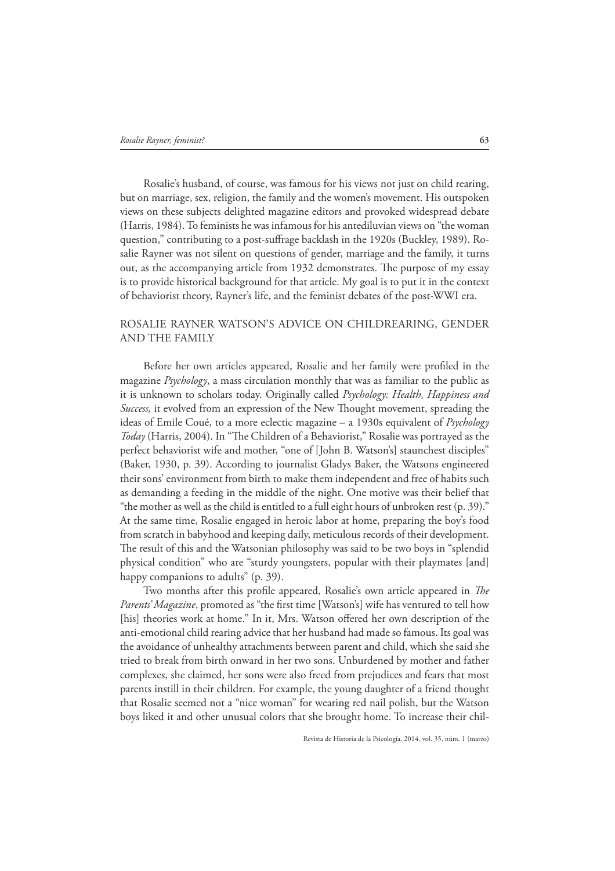Rosalie's husband, of course, was famous for his views not just on child rearing, but on marriage, sex, religion, the family and the women's movement. His outspoken views on these subjects delighted magazine editors and provoked widespread debate (Harris, 1984). To feminists he was infamous for his antediluvian views on "the woman question," contributing to a post-suFrage backlash in the 1920s (Buckley, 1989). Rosalie Rayner was not silent on questions of gender, marriage and the family, it turns out, as the accompanying article from 1932 demonstrates. The purpose of my essay is to provide historical background for that article. My goal is to put it in the context of behaviorist theory, Rayner's life, and the feminist debates of the post-WWI era.

# ROSALIE RAYNER WATSON'S ADVICE ON CHILDREARING, GENDER AND THE FAMILY

Before her own articles appeared, Rosalie and her family were profiled in the magazine *Psychology*, a mass circulation monthly that was as familiar to the public as it is unknown to scholars today. Originally called *Psychology: Health, Happiness and Success,* it evolved from an expression of the New Thought movement, spreading the ideas of Emile Coué, to a more eclectic magazine – a 1930s equivalent of *Psychology Today* (Harris, 2004). In "The Children of a Behaviorist," Rosalie was portrayed as the perfect behaviorist wife and mother, "one of [John B. Watson's] staunchest disciples" (Baker, 1930, p. 39). According to journalist Gladys Baker, the Watsons engineered their sons' environment from birth to make them independent and free of habits such as demanding a feeding in the middle of the night. One motive was their belief that "the mother as well as the child is entitled to a full eight hours of unbroken rest (p. 39)." At the same time, Rosalie engaged in heroic labor at home, preparing the boy's food from scratch in babyhood and keeping daily, meticulous records of their development. The result of this and the Watsonian philosophy was said to be two boys in "splendid" physical condition" who are "sturdy youngsters, popular with their playmates [and] happy companions to adults" (p. 39).

Two months after this profile appeared, Rosalie's own article appeared in *The* Parents' Magazine, promoted as "the first time [Watson's] wife has ventured to tell how [his] theories work at home." In it, Mrs. Watson offered her own description of the anti-emotional child rearing advice that her husband had made so famous. Its goal was the avoidance of unhealthy attachments between parent and child, which she said she tried to break from birth onward in her two sons. Unburdened by mother and father complexes, she claimed, her sons were also freed from prejudices and fears that most parents instill in their children. For example, the young daughter of a friend thought that Rosalie seemed not a "nice woman" for wearing red nail polish, but the Watson boys liked it and other unusual colors that she brought home. To increase their chil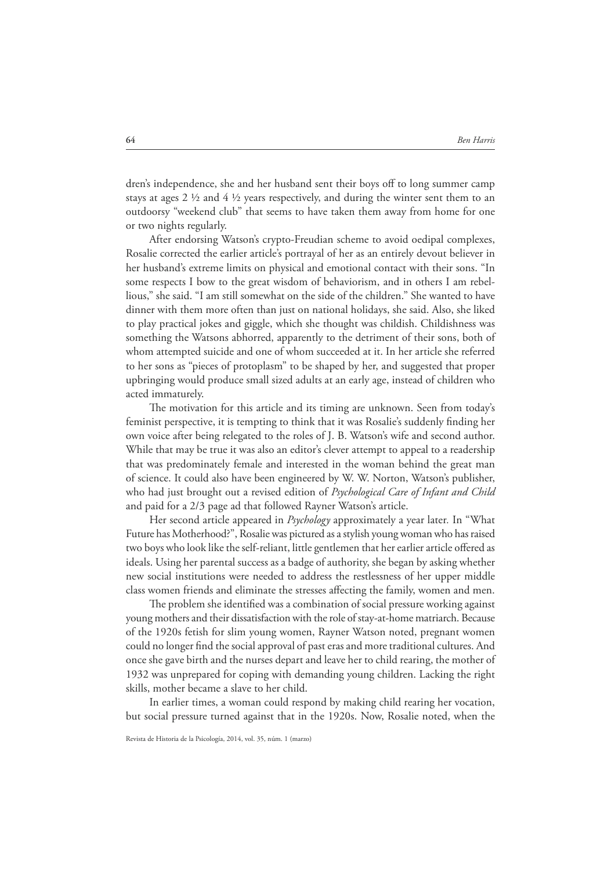dren's independence, she and her husband sent their boys off to long summer camp stays at ages 2 ½ and 4 ½ years respectively, and during the winter sent them to an outdoorsy "weekend club" that seems to have taken them away from home for one or two nights regularly.

After endorsing Watson's crypto-Freudian scheme to avoid oedipal complexes, Rosalie corrected the earlier article's portrayal of her as an entirely devout believer in her husband's extreme limits on physical and emotional contact with their sons. "In some respects I bow to the great wisdom of behaviorism, and in others I am rebellious," she said. "I am still somewhat on the side of the children." She wanted to have dinner with them more often than just on national holidays, she said. Also, she liked to play practical jokes and giggle, which she thought was childish. Childishness was something the Watsons abhorred, apparently to the detriment of their sons, both of whom attempted suicide and one of whom succeeded at it. In her article she referred to her sons as "pieces of protoplasm" to be shaped by her, and suggested that proper upbringing would produce small sized adults at an early age, instead of children who acted immaturely.

The motivation for this article and its timing are unknown. Seen from today's feminist perspective, it is tempting to think that it was Rosalie's suddenly finding her own voice after being relegated to the roles of J. B. Watson's wife and second author. While that may be true it was also an editor's clever attempt to appeal to a readership that was predominately female and interested in the woman behind the great man of science. It could also have been engineered by W. W. Norton, Watson's publisher, who had just brought out a revised edition of *Psychological Care of Infant and Child* and paid for a 2/3 page ad that followed Rayner Watson's article.

Her second article appeared in *Psychology* approximately a year later*.* In "What Future has Motherhood?", Rosalie was pictured as a stylish young woman who has raised two boys who look like the self-reliant, little gentlemen that her earlier article offered as ideals. Using her parental success as a badge of authority, she began by asking whether new social institutions were needed to address the restlessness of her upper middle class women friends and eliminate the stresses aFecting the family, women and men.

The problem she identified was a combination of social pressure working against young mothers and their dissatisfaction with the role of stay-at-home matriarch. Because of the 1920s fetish for slim young women, Rayner Watson noted, pregnant women could no longer find the social approval of past eras and more traditional cultures. And once she gave birth and the nurses depart and leave her to child rearing, the mother of 1932 was unprepared for coping with demanding young children. Lacking the right skills, mother became a slave to her child.

In earlier times, a woman could respond by making child rearing her vocation, but social pressure turned against that in the 1920s. Now, Rosalie noted, when the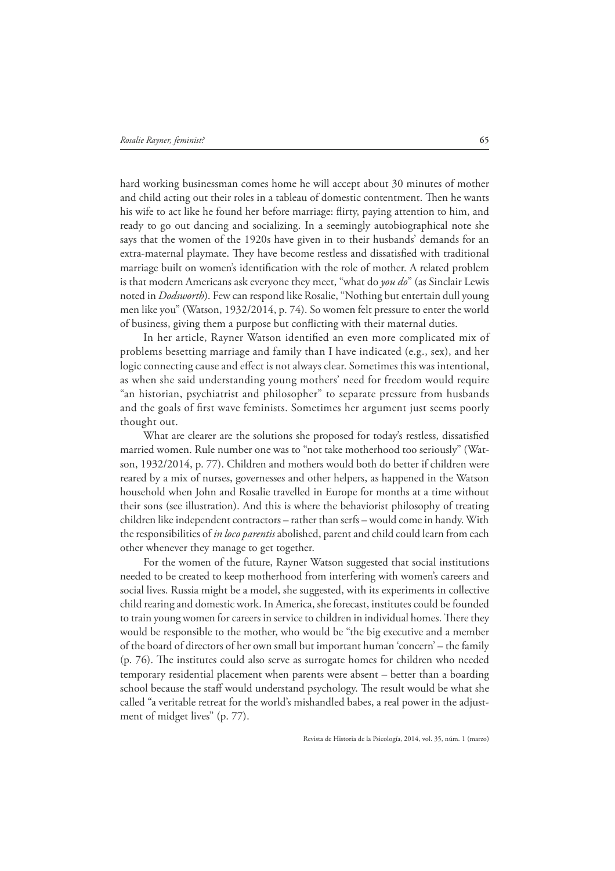hard working businessman comes home he will accept about 30 minutes of mother and child acting out their roles in a tableau of domestic contentment. Then he wants his wife to act like he found her before marriage: flirty, paying attention to him, and ready to go out dancing and socializing. In a seemingly autobiographical note she says that the women of the 1920s have given in to their husbands' demands for an extra-maternal playmate. They have become restless and dissatisfied with traditional marriage built on women's identification with the role of mother. A related problem is that modern Americans ask everyone they meet, "what do *you do*" (as Sinclair Lewis noted in *Dodsworth*). Few can respond like Rosalie, "Nothing but entertain dull young men like you" (Watson, 1932/2014, p. 74). So women felt pressure to enter the world of business, giving them a purpose but conflicting with their maternal duties.

In her article, Rayner Watson identified an even more complicated mix of problems besetting marriage and family than I have indicated (e.g., sex), and her logic connecting cause and eFect is not always clear. Sometimes this was intentional, as when she said understanding young mothers' need for freedom would require "an historian, psychiatrist and philosopher" to separate pressure from husbands and the goals of first wave feminists. Sometimes her argument just seems poorly thought out.

What are clearer are the solutions she proposed for today's restless, dissatisfied married women. Rule number one was to "not take motherhood too seriously" (Watson, 1932/2014, p. 77). Children and mothers would both do better if children were reared by a mix of nurses, governesses and other helpers, as happened in the Watson household when John and Rosalie travelled in Europe for months at a time without their sons (see illustration). And this is where the behaviorist philosophy of treating children like independent contractors – rather than serfs – would come in handy. With the responsibilities of *in loco parentis* abolished, parent and child could learn from each other whenever they manage to get together.

For the women of the future, Rayner Watson suggested that social institutions needed to be created to keep motherhood from interfering with women's careers and social lives. Russia might be a model, she suggested, with its experiments in collective child rearing and domestic work. In America, she forecast, institutes could be founded to train young women for careers in service to children in individual homes. There they would be responsible to the mother, who would be "the big executive and a member of the board of directors of her own small but important human 'concern' – the family  $(p. 76)$ . The institutes could also serve as surrogate homes for children who needed temporary residential placement when parents were absent – better than a boarding school because the staff would understand psychology. The result would be what she called "a veritable retreat for the world's mishandled babes, a real power in the adjustment of midget lives" (p. 77).

Revista de Historia de la Psicología, 2014, vol. 35, núm. 1 (marzo)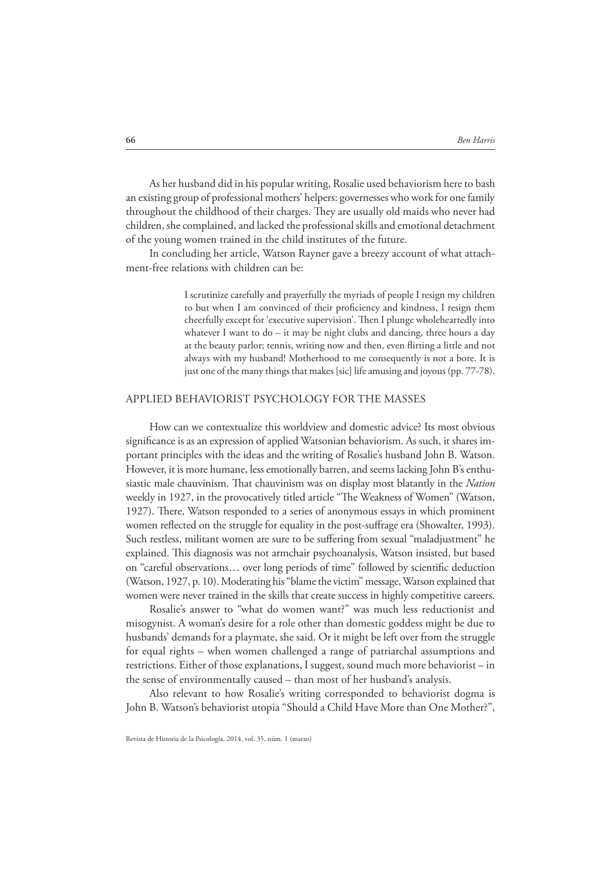As her husband did in his popular writing, Rosalie used behaviorism here to bash an existing group of professional mothers' helpers: governesses who work for one family throughout the childhood of their charges. They are usually old maids who never had children, she complained, and lacked the professional skills and emotional detachment of the young women trained in the child institutes of the future.

In concluding her article, Watson Rayner gave a breezy account of what attachment-free relations with children can be:

> I scrutinize carefully and prayerfully the myriads of people I resign my children to but when I am convinced of their proficiency and kindness, I resign them cheerfully except for 'executive supervision'. Then I plunge wholeheartedly into whatever I want to do – it may be night clubs and dancing, three hours a day at the beauty parlor; tennis, writing now and then, even flirting a little and not always with my husband! Motherhood to me consequently is not a bore. It is just one of the many things that makes [sic] life amusing and joyous (pp. 77-78).

### APPLIED BEHAVIORIST PSYCHOLOGY FOR THE MASSES

How can we contextualize this worldview and domestic advice? Its most obvious significance is as an expression of applied Watsonian behaviorism. As such, it shares important principles with the ideas and the writing of Rosalie's husband John B. Watson. However, it is more humane, less emotionally barren, and seems lacking John B's enthusiastic male chauvinism. That chauvinism was on display most blatantly in the *Nation* weekly in 1927, in the provocatively titled article "The Weakness of Women" (Watson, 1927). There, Watson responded to a series of anonymous essays in which prominent women reflected on the struggle for equality in the post-suffrage era (Showalter, 1993). Such restless, militant women are sure to be suFering from sexual "maladjustment" he explained. This diagnosis was not armchair psychoanalysis, Watson insisted, but based on "careful observations... over long periods of time" followed by scientific deduction (Watson, 1927, p. 10). Moderating his "blame the victim" message, Watson explained that women were never trained in the skills that create success in highly competitive careers.

Rosalie's answer to "what do women want?" was much less reductionist and misogynist. A woman's desire for a role other than domestic goddess might be due to husbands' demands for a playmate, she said. Or it might be left over from the struggle for equal rights – when women challenged a range of patriarchal assumptions and restrictions. Either of those explanations, I suggest, sound much more behaviorist – in the sense of environmentally caused – than most of her husband's analysis.

Also relevant to how Rosalie's writing corresponded to behaviorist dogma is John B. Watson's behaviorist utopia "Should a Child Have More than One Mother?",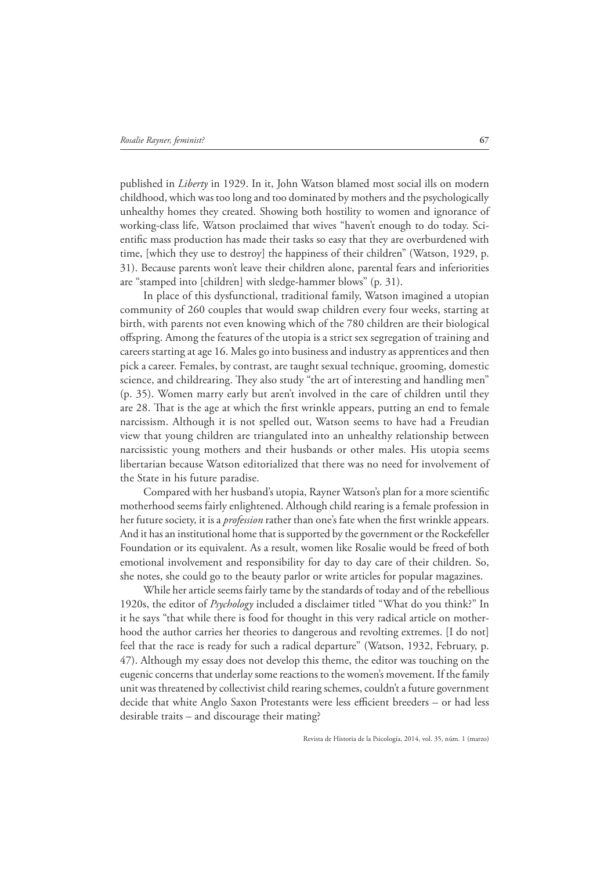published in *Liberty* in 1929. In it, John Watson blamed most social ills on modern childhood, which was too long and too dominated by mothers and the psychologically unhealthy homes they created. Showing both hostility to women and ignorance of working-class life, Watson proclaimed that wives "haven't enough to do today. Scientific mass production has made their tasks so easy that they are overburdened with time, [which they use to destroy] the happiness of their children" (Watson, 1929, p. 31). Because parents won't leave their children alone, parental fears and inferiorities are "stamped into [children] with sledge-hammer blows" (p. 31).

In place of this dysfunctional, traditional family, Watson imagined a utopian community of 260 couples that would swap children every four weeks, starting at birth, with parents not even knowing which of the 780 children are their biological oFspring. Among the features of the utopia is a strict sex segregation of training and careers starting at age 16. Males go into business and industry as apprentices and then pick a career. Females, by contrast, are taught sexual technique, grooming, domestic science, and childrearing. They also study "the art of interesting and handling men" (p. 35). Women marry early but aren't involved in the care of children until they are 28. That is the age at which the first wrinkle appears, putting an end to female narcissism. Although it is not spelled out, Watson seems to have had a Freudian view that young children are triangulated into an unhealthy relationship between narcissistic young mothers and their husbands or other males. His utopia seems libertarian because Watson editorialized that there was no need for involvement of the State in his future paradise.

Compared with her husband's utopia, Rayner Watson's plan for a more scientific motherhood seems fairly enlightened. Although child rearing is a female profession in her future society, it is a *profession* rather than one's fate when the first wrinkle appears. And it has an institutional home that is supported by the government or the Rockefeller Foundation or its equivalent. As a result, women like Rosalie would be freed of both emotional involvement and responsibility for day to day care of their children. So, she notes, she could go to the beauty parlor or write articles for popular magazines.

While her article seems fairly tame by the standards of today and of the rebellious 1920s, the editor of *Psychology* included a disclaimer titled "What do you think?" In it he says "that while there is food for thought in this very radical article on motherhood the author carries her theories to dangerous and revolting extremes. [I do not] feel that the race is ready for such a radical departure" (Watson, 1932, February, p. 47). Although my essay does not develop this theme, the editor was touching on the eugenic concerns that underlay some reactions to the women's movement. If the family unit was threatened by collectivist child rearing schemes, couldn't a future government decide that white Anglo Saxon Protestants were less efficient breeders – or had less desirable traits – and discourage their mating?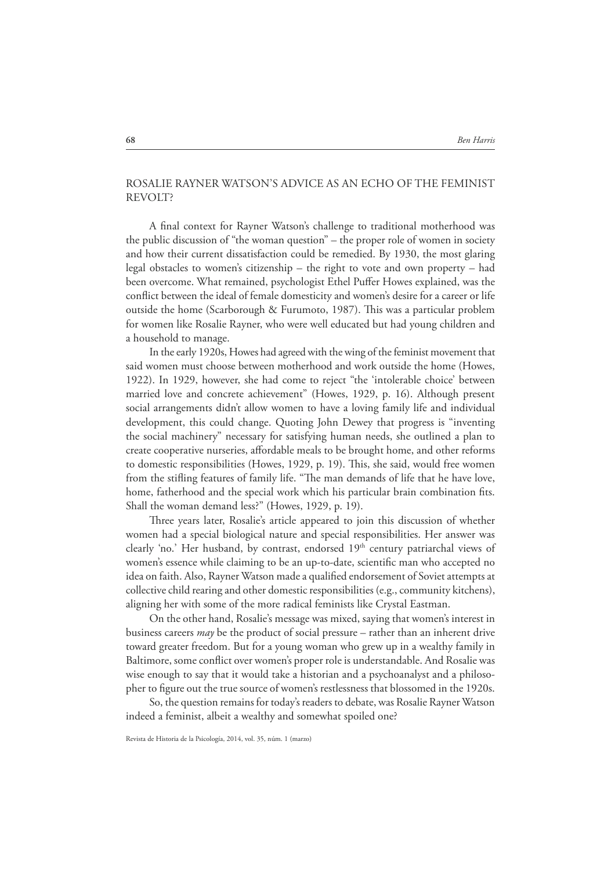## ROSALIE RAYNER WATSON'S ADVICE AS AN ECHO OF THE FEMINIST REVOLT?

A final context for Rayner Watson's challenge to traditional motherhood was the public discussion of "the woman question" – the proper role of women in society and how their current dissatisfaction could be remedied. By 1930, the most glaring legal obstacles to women's citizenship – the right to vote and own property – had been overcome. What remained, psychologist Ethel PuFer Howes explained, was the conflict between the ideal of female domesticity and women's desire for a career or life outside the home (Scarborough & Furumoto, 1987). This was a particular problem for women like Rosalie Rayner, who were well educated but had young children and a household to manage.

In the early 1920s, Howes had agreed with the wing of the feminist movement that said women must choose between motherhood and work outside the home (Howes, 1922). In 1929, however, she had come to reject "the 'intolerable choice' between married love and concrete achievement" (Howes, 1929, p. 16). Although present social arrangements didn't allow women to have a loving family life and individual development, this could change. Quoting John Dewey that progress is "inventing the social machinery" necessary for satisfying human needs, she outlined a plan to create cooperative nurseries, aFordable meals to be brought home, and other reforms to domestic responsibilities (Howes, 1929, p. 19). This, she said, would free women from the stifling features of family life. "The man demands of life that he have love, home, fatherhood and the special work which his particular brain combination fits. Shall the woman demand less?" (Howes, 1929, p. 19).

Three years later, Rosalie's article appeared to join this discussion of whether women had a special biological nature and special responsibilities. Her answer was clearly 'no.' Her husband, by contrast, endorsed 19<sup>th</sup> century patriarchal views of women's essence while claiming to be an up-to-date, scientific man who accepted no idea on faith. Also, Rayner Watson made a qualified endorsement of Soviet attempts at collective child rearing and other domestic responsibilities (e.g., community kitchens), aligning her with some of the more radical feminists like Crystal Eastman.

On the other hand, Rosalie's message was mixed, saying that women's interest in business careers *may* be the product of social pressure – rather than an inherent drive toward greater freedom. But for a young woman who grew up in a wealthy family in Baltimore, some conflict over women's proper role is understandable. And Rosalie was wise enough to say that it would take a historian and a psychoanalyst and a philosopher to figure out the true source of women's restlessness that blossomed in the 1920s.

So, the question remains for today's readers to debate, was Rosalie Rayner Watson indeed a feminist, albeit a wealthy and somewhat spoiled one?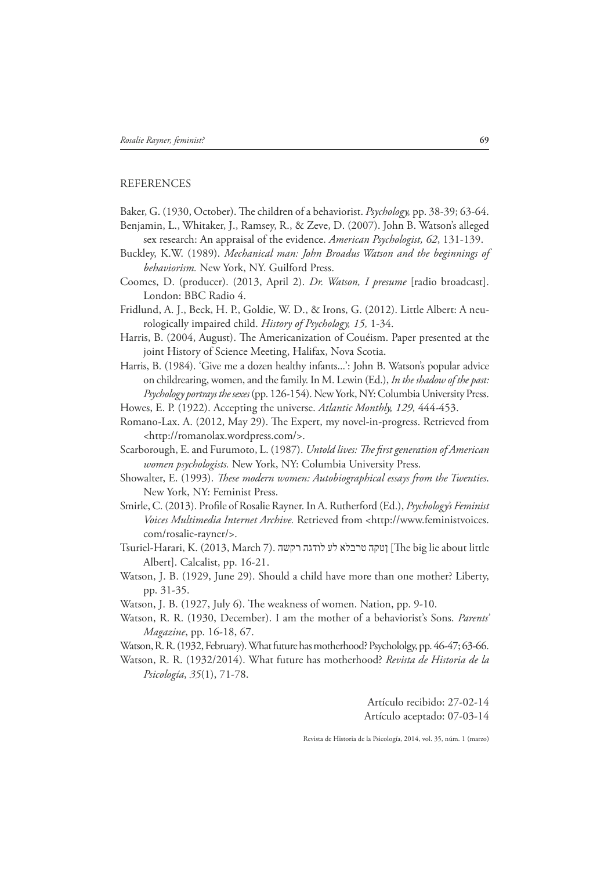### **REFERENCES**

Baker, G. (1930, October). The children of a behaviorist. *Psychology*, pp. 38-39; 63-64.

- Benjamin, L., Whitaker, J., Ramsey, R., & Zeve, D. (2007). John B. Watson's alleged sex research: An appraisal of the evidence. *American Psychologist, 62*, 131-139.
- Buckley, K.W. (1989). *Mechanical man: John Broadus Watson and the beginnings of behaviorism.* New York, NY. Guilford Press.
- Coomes, D. (producer). (2013, April 2). *Dr. Watson, I presume* [radio broadcast]. London: BBC Radio 4.
- Fridlund, A. J., Beck, H. P., Goldie, W. D., & Irons, G. (2012). Little Albert: A neurologically impaired child. *History of Psychology, 15,* 1-34.
- Harris, B. (2004, August). The Americanization of Couéism. Paper presented at the joint History of Science Meeting, Halifax, Nova Scotia.
- Harris, B. (1984). 'Give me a dozen healthy infants...': John B. Watson's popular advice on childrearing, women, and the family. In M. Lewin (Ed.), *In the shadow of the past: Psychology portrays the sexes* (pp. 126-154). New York, NY: Columbia University Press.
- Howes, E. P. (1922). Accepting the universe. *Atlantic Monthly, 129,* 444-453.
- Romano-Lax. A. (2012, May 29). The Expert, my novel-in-progress. Retrieved from <http://romanolax.wordpress.com/>.
- Scarborough, E. and Furumoto, L. (1987). *Untold lives: The first generation of American women psychologists.* New York, NY: Columbia University Press.
- Showalter, E. (1993). *These modern women: Autobiographical essays from the Twenties.* New York, NY: Feminist Press.
- Smirle, C. (2013). Profile of Rosalie Rayner. In A. Rutherford (Ed.), *Psychology's Feminist Voices Multimedia Internet Archive.* Retrieved from <http://www.feministvoices. com/rosalie-rayner/>.
- Tsuriel-Harari, K. (2013, March 7). וְטקה טרבלא לע לודגה רקשה] [The big lie about little Albert]. Calcalist, pp. 16-21.
- Watson, J. B. (1929, June 29). Should a child have more than one mother? Liberty, pp. 31-35.
- Watson, J. B. (1927, July 6). The weakness of women. Nation, pp. 9-10.
- Watson, R. R. (1930, December). I am the mother of a behaviorist's Sons. *Parents' Magazine*, pp. 16-18, 67.
- Watson, R. R. (1932, February). What future has motherhood? Psychololgy, pp. 46-47; 63-66.
- Watson, R. R. (1932/2014). What future has motherhood? *Revista de Historia de la Psicología*, *35*(1), 71-78.

Artículo recibido: 27-02-14 Artículo aceptado: 07-03-14

Revista de Historia de la Psicología, 2014, vol. 35, núm. 1 (marzo)